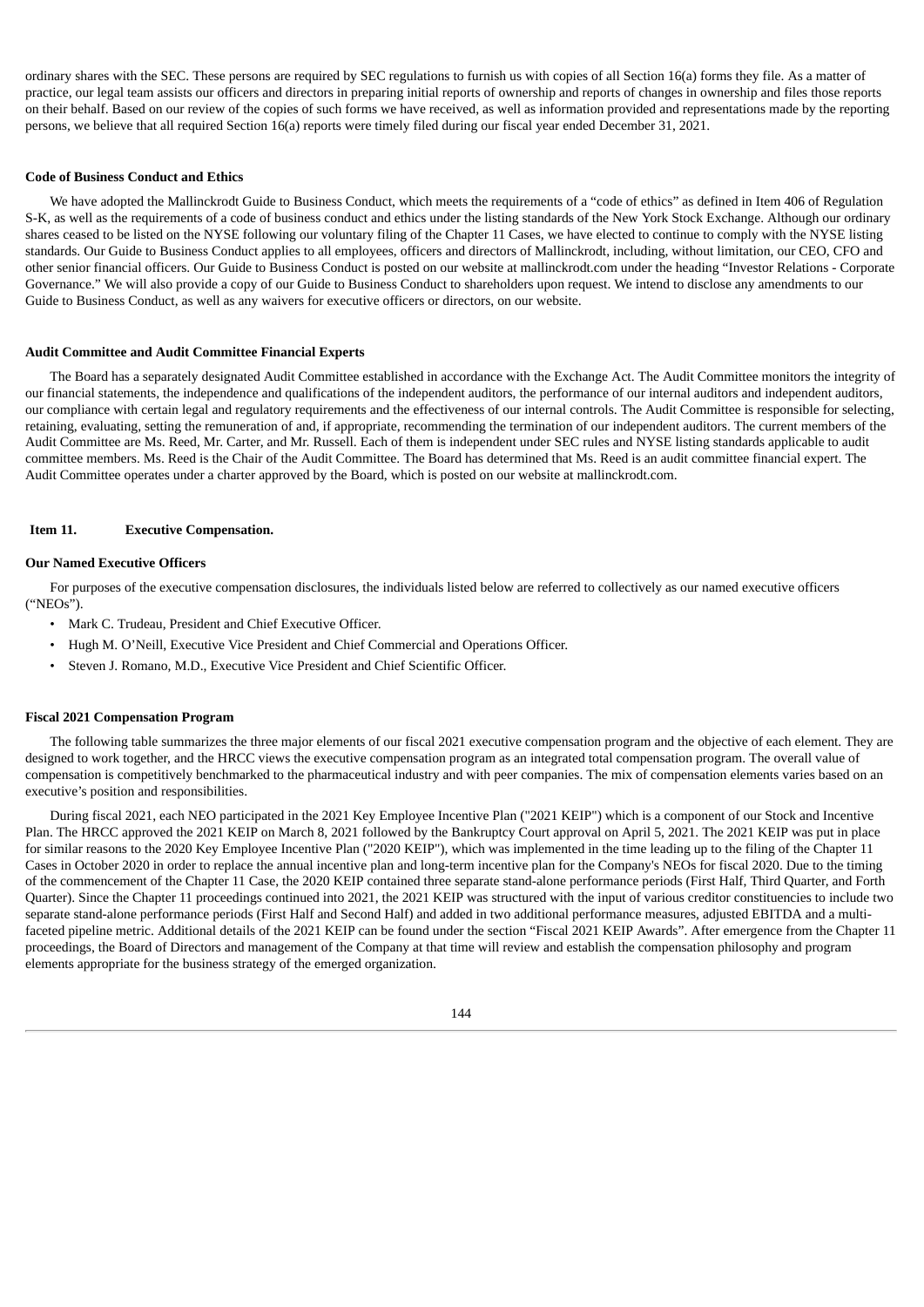ordinary shares with the SEC. These persons are required by SEC regulations to furnish us with copies of all Section 16(a) forms they file. As a matter of practice, our legal team assists our officers and directors in preparing initial reports of ownership and reports of changes in ownership and files those reports on their behalf. Based on our review of the copies of such forms we have received, as well as information provided and representations made by the reporting persons, we believe that all required Section 16(a) reports were timely filed during our fiscal year ended December 31, 2021.

### **Code of Business Conduct and Ethics**

We have adopted the Mallinckrodt Guide to Business Conduct, which meets the requirements of a "code of ethics" as defined in Item 406 of Regulation S-K, as well as the requirements of a code of business conduct and ethics under the listing standards of the New York Stock Exchange. Although our ordinary shares ceased to be listed on the NYSE following our voluntary filing of the Chapter 11 Cases, we have elected to continue to comply with the NYSE listing standards. Our Guide to Business Conduct applies to all employees, officers and directors of Mallinckrodt, including, without limitation, our CEO, CFO and other senior financial officers. Our Guide to Business Conduct is posted on our website at mallinckrodt.com under the heading "Investor Relations - Corporate Governance." We will also provide a copy of our Guide to Business Conduct to shareholders upon request. We intend to disclose any amendments to our Guide to Business Conduct, as well as any waivers for executive officers or directors, on our website.

#### **Audit Committee and Audit Committee Financial Experts**

The Board has a separately designated Audit Committee established in accordance with the Exchange Act. The Audit Committee monitors the integrity of our financial statements, the independence and qualifications of the independent auditors, the performance of our internal auditors and independent auditors, our compliance with certain legal and regulatory requirements and the effectiveness of our internal controls. The Audit Committee is responsible for selecting, retaining, evaluating, setting the remuneration of and, if appropriate, recommending the termination of our independent auditors. The current members of the Audit Committee are Ms. Reed, Mr. Carter, and Mr. Russell. Each of them is independent under SEC rules and NYSE listing standards applicable to audit committee members. Ms. Reed is the Chair of the Audit Committee. The Board has determined that Ms. Reed is an audit committee financial expert. The Audit Committee operates under a charter approved by the Board, which is posted on our website at mallinckrodt.com.

#### **Item 11. Executive Compensation.**

#### **Our Named Executive Officers**

For purposes of the executive compensation disclosures, the individuals listed below are referred to collectively as our named executive officers ("NEOs").

- Mark C. Trudeau, President and Chief Executive Officer.
- Hugh M. O'Neill, Executive Vice President and Chief Commercial and Operations Officer.
- Steven J. Romano, M.D., Executive Vice President and Chief Scientific Officer.

#### **Fiscal 2021 Compensation Program**

The following table summarizes the three major elements of our fiscal 2021 executive compensation program and the objective of each element. They are designed to work together, and the HRCC views the executive compensation program as an integrated total compensation program. The overall value of compensation is competitively benchmarked to the pharmaceutical industry and with peer companies. The mix of compensation elements varies based on an executive's position and responsibilities.

During fiscal 2021, each NEO participated in the 2021 Key Employee Incentive Plan ("2021 KEIP") which is a component of our Stock and Incentive Plan. The HRCC approved the 2021 KEIP on March 8, 2021 followed by the Bankruptcy Court approval on April 5, 2021. The 2021 KEIP was put in place for similar reasons to the 2020 Key Employee Incentive Plan ("2020 KEIP"), which was implemented in the time leading up to the filing of the Chapter 11 Cases in October 2020 in order to replace the annual incentive plan and long-term incentive plan for the Company's NEOs for fiscal 2020. Due to the timing of the commencement of the Chapter 11 Case, the 2020 KEIP contained three separate stand-alone performance periods (First Half, Third Quarter, and Forth Quarter). Since the Chapter 11 proceedings continued into 2021, the 2021 KEIP was structured with the input of various creditor constituencies to include two separate stand-alone performance periods (First Half and Second Half) and added in two additional performance measures, adjusted EBITDA and a multifaceted pipeline metric. Additional details of the 2021 KEIP can be found under the section "Fiscal 2021 KEIP Awards". After emergence from the Chapter 11 proceedings, the Board of Directors and management of the Company at that time will review and establish the compensation philosophy and program elements appropriate for the business strategy of the emerged organization.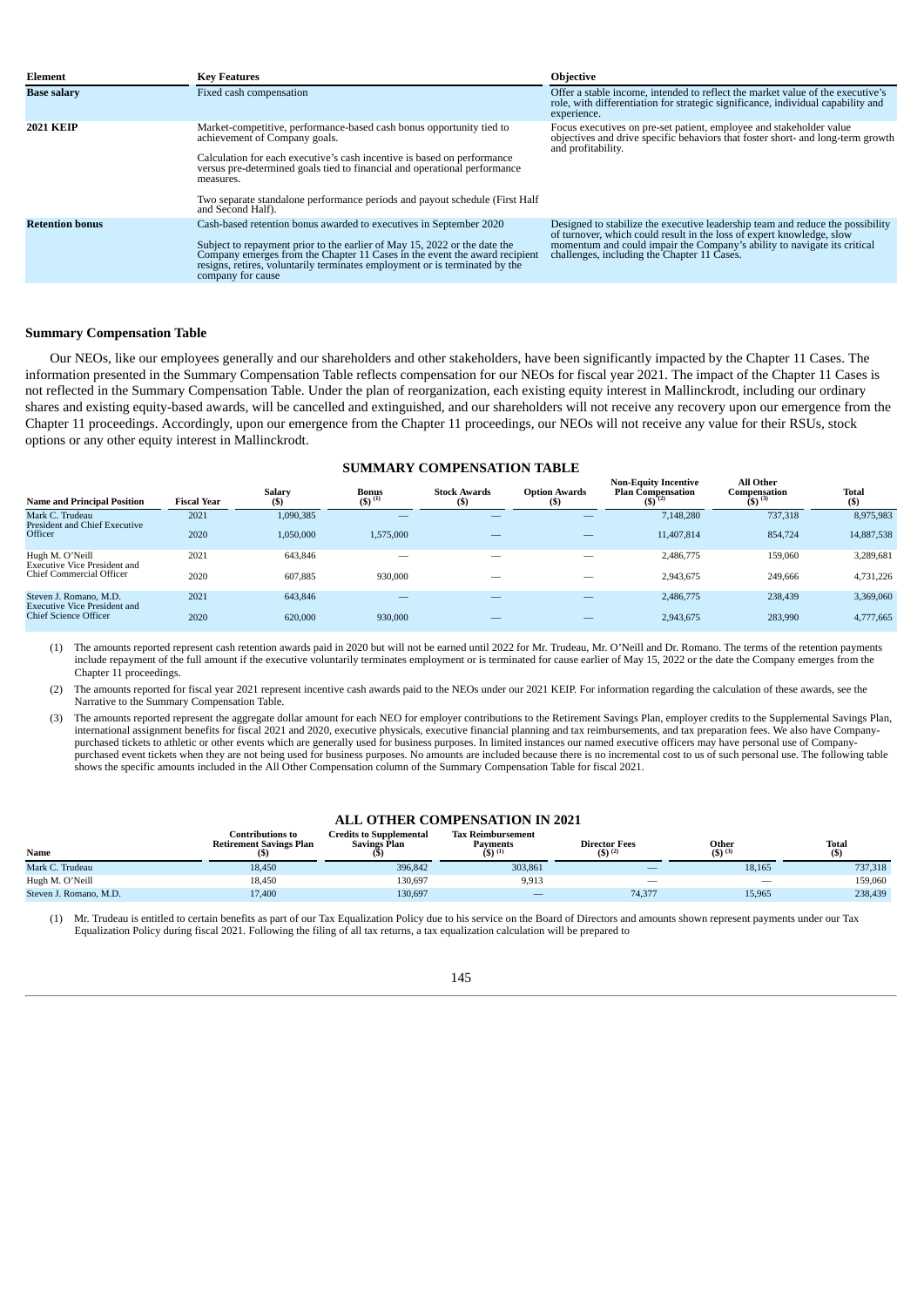| Element                | <b>Key Features</b>                                                                                                                                                                                                                                                                                                                                       | <b>Objective</b>                                                                                                                                                                                                                                                                   |
|------------------------|-----------------------------------------------------------------------------------------------------------------------------------------------------------------------------------------------------------------------------------------------------------------------------------------------------------------------------------------------------------|------------------------------------------------------------------------------------------------------------------------------------------------------------------------------------------------------------------------------------------------------------------------------------|
| <b>Base salary</b>     | Fixed cash compensation                                                                                                                                                                                                                                                                                                                                   | Offer a stable income, intended to reflect the market value of the executive's<br>role, with differentiation for strategic significance, individual capability and<br>experience.                                                                                                  |
| <b>2021 KEIP</b>       | Market-competitive, performance-based cash bonus opportunity tied to<br>achievement of Company goals.<br>Calculation for each executive's cash incentive is based on performance<br>versus pre-determined goals tied to financial and operational performance<br>measures.<br>Two separate standalone performance periods and payout schedule (First Half | Focus executives on pre-set patient, employee and stakeholder value<br>objectives and drive specific behaviors that foster short- and long-term growth<br>and profitability.                                                                                                       |
|                        | and Second Half).                                                                                                                                                                                                                                                                                                                                         |                                                                                                                                                                                                                                                                                    |
| <b>Retention bonus</b> | Cash-based retention bonus awarded to executives in September 2020<br>Subject to repayment prior to the earlier of May 15, 2022 or the date the<br>Company emerges from the Chapter 11 Cases in the event the award recipient<br>resigns, retires, voluntarily terminates employment or is terminated by the<br>company for cause                         | Designed to stabilize the executive leadership team and reduce the possibility<br>of turnover, which could result in the loss of expert knowledge, slow<br>momentum and could impair the Company's ability to navigate its critical<br>challenges, including the Chapter 11 Cases. |

## **Summary Compensation Table**

Our NEOs, like our employees generally and our shareholders and other stakeholders, have been significantly impacted by the Chapter 11 Cases. The information presented in the Summary Compensation Table reflects compensation for our NEOs for fiscal year 2021. The impact of the Chapter 11 Cases is not reflected in the Summary Compensation Table. Under the plan of reorganization, each existing equity interest in Mallinckrodt, including our ordinary shares and existing equity-based awards, will be cancelled and extinguished, and our shareholders will not receive any recovery upon our emergence from the Chapter 11 proceedings. Accordingly, upon our emergence from the Chapter 11 proceedings, our NEOs will not receive any value for their RSUs, stock options or any other equity interest in Mallinckrodt.

## **SUMMARY COMPENSATION TABLE**

| <b>Name and Principal Position</b>                            | <b>Fiscal Year</b> | Salary<br>$($ \$ | <b>Bonus</b><br>$(5)^{(1)}$ | <b>Stock Awards</b><br>(S) | <b>Option Awards</b><br>(\$) | <b>Non-Equity Incentive</b><br><b>Plan Compensation</b><br>$(5)^{(2)}$ | <b>All Other</b><br>Compensation<br>$(5)^{(3)}$ | Total<br>$($ \$ |  |  |
|---------------------------------------------------------------|--------------------|------------------|-----------------------------|----------------------------|------------------------------|------------------------------------------------------------------------|-------------------------------------------------|-----------------|--|--|
| Mark C. Trudeau<br><b>President and Chief Executive</b>       | 2021               | 1,090,385        | _                           |                            |                              | 7,148,280                                                              | 737,318                                         | 8,975,983       |  |  |
| Officer                                                       | 2020               | 1,050,000        | 1,575,000                   | _                          | _                            | 11,407,814                                                             | 854,724                                         | 14,887,538      |  |  |
| Hugh M. O'Neill<br><b>Executive Vice President and</b>        | 2021               | 643.846          | $-$                         | $\overline{\phantom{a}}$   |                              | 2,486,775                                                              | 159,060                                         | 3,289,681       |  |  |
| Chief Commercial Officer                                      | 2020               | 607,885          | 930,000                     | $\overline{\phantom{a}}$   | _                            | 2,943,675                                                              | 249,666                                         | 4,731,226       |  |  |
| Steven J. Romano, M.D.<br><b>Executive Vice President and</b> | 2021               | 643,846          | _                           |                            | _                            | 2,486,775                                                              | 238,439                                         | 3,369,060       |  |  |
| <b>Chief Science Officer</b>                                  | 2020               | 620,000          | 930,000                     | _                          | _                            | 2,943,675                                                              | 283,990                                         | 4,777,665       |  |  |

(1) The amounts reported represent cash retention awards paid in 2020 but will not be earned until 2022 for Mr. Trudeau, Mr. O'Neill and Dr. Romano. The terms of the retention payments include repayment of the full amount if the executive voluntarily terminates employment or is terminated for cause earlier of May 15, 2022 or the date the Company emerges from the Chapter 11 proceedings.

(2) The amounts reported for fiscal year 2021 represent incentive cash awards paid to the NEOs under our 2021 KEIP. For information regarding the calculation of these awards, see the Narrative to the Summary Compensation Table.

(3) The amounts reported represent the aggregate dollar amount for each NEO for employer contributions to the Retirement Savings Plan, employer credits to the Supplemental Savings Plan, international assignment benefits for fiscal 2021 and 2020, executive physicals, executive financial planning and tax reimbursements, and tax preparation fees. We also have Companypurchased tickets to athletic or other events which are generally used for business purposes. In limited instances our named executive officers may have personal use of Companypurchased event tickets when they are not being used for business purposes. No amounts are included because there is no incremental cost to us of such personal use. The following table shows the specific amounts included in the All Other Compensation column of the Summary Compensation Table for fiscal 2021.

## **ALL OTHER COMPENSATION IN 2021**

| Name                   | Contributions to<br><b>Retirement Savings Plan</b> | <b>Credits to Supplemental</b><br>Savings Plan | Tax Reimbursement<br><b>Payments</b><br>(S) <sup>(1)</sup> | <b>Director Fees</b><br>$(5)^{(2)}$ | Other<br>$(5)$ <sup>(3)</sup> | <b>Total</b><br>(5) |
|------------------------|----------------------------------------------------|------------------------------------------------|------------------------------------------------------------|-------------------------------------|-------------------------------|---------------------|
| Mark C. Trudeau        | 18,450                                             | 396,842                                        | 303,861                                                    | $\overline{\phantom{a}}$            | 18,165                        | 737,318             |
| Hugh M. O'Neill        | 18,450                                             | 130,697                                        | 9,913                                                      | $\overline{\phantom{a}}$            | -                             | 159,060             |
| Steven J. Romano, M.D. | 17,400                                             | 130,697                                        |                                                            | 74,377                              | 15,965                        | 238,439             |

(1) Mr. Trudeau is entitled to certain benefits as part of our Tax Equalization Policy due to his service on the Board of Directors and amounts shown represent payments under our Tax Equalization Policy during fiscal 2021. Following the filing of all tax returns, a tax equalization calculation will be prepared to

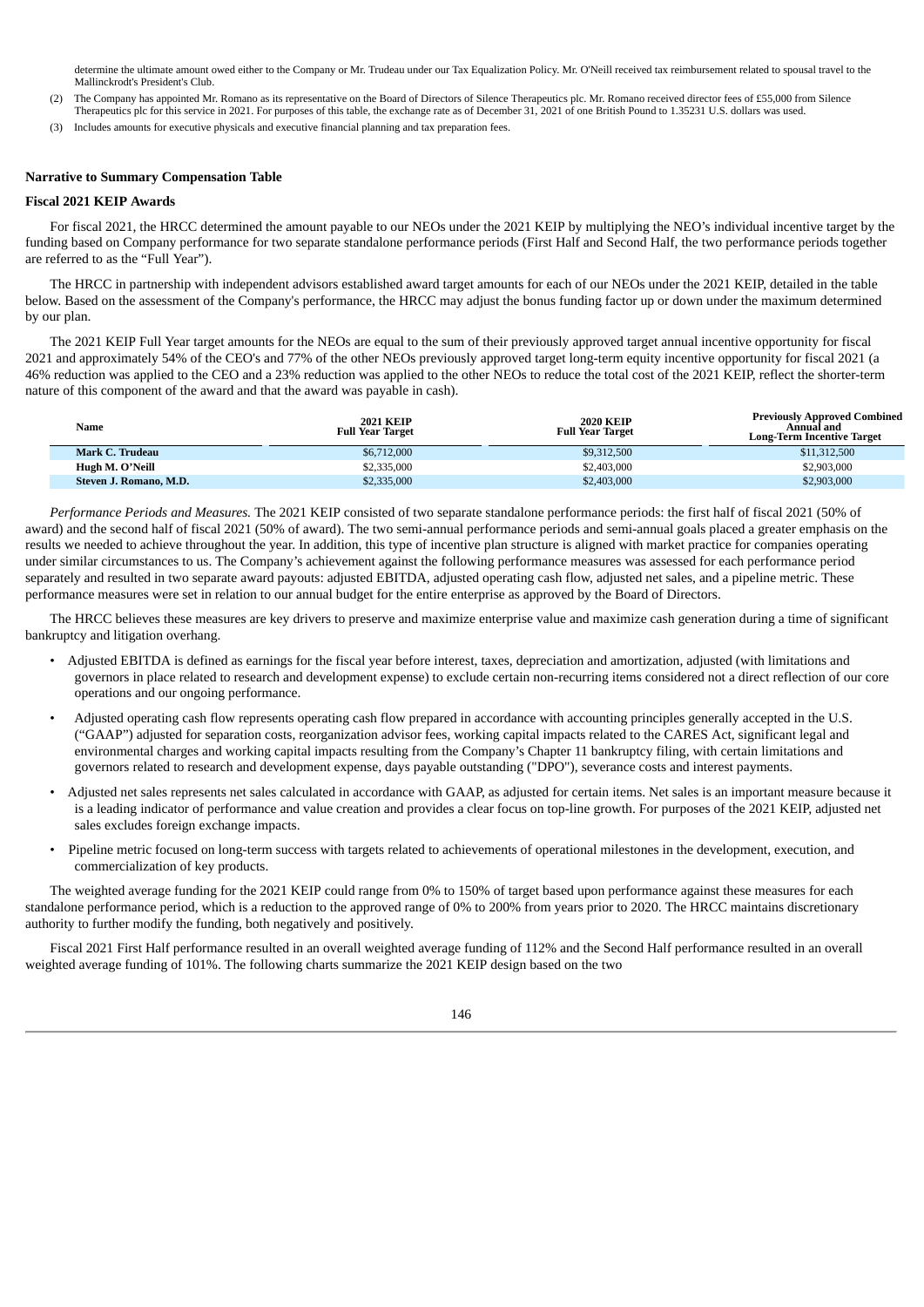determine the ultimate amount owed either to the Company or Mr. Trudeau under our Tax Equalization Policy. Mr. O'Neill received tax reimbursement related to spousal travel to the Mallinckrodt's President's Club.

- (2) The Company has appointed Mr. Romano as its representative on the Board of Directors of Silence Therapeutics plc. Mr. Romano received director fees of £55,000 from Silence Therapeutics plc for this service in 2021. For purposes of this table, the exchange rate as of December 31, 2021 of one British Pound to 1.35231 U.S. dollars was used.
- (3) Includes amounts for executive physicals and executive financial planning and tax preparation fees.

## **Narrative to Summary Compensation Table**

## **Fiscal 2021 KEIP Awards**

For fiscal 2021, the HRCC determined the amount payable to our NEOs under the 2021 KEIP by multiplying the NEO's individual incentive target by the funding based on Company performance for two separate standalone performance periods (First Half and Second Half, the two performance periods together are referred to as the "Full Year").

The HRCC in partnership with independent advisors established award target amounts for each of our NEOs under the 2021 KEIP, detailed in the table below. Based on the assessment of the Company's performance, the HRCC may adjust the bonus funding factor up or down under the maximum determined by our plan.

The 2021 KEIP Full Year target amounts for the NEOs are equal to the sum of their previously approved target annual incentive opportunity for fiscal 2021 and approximately 54% of the CEO's and 77% of the other NEOs previously approved target long-term equity incentive opportunity for fiscal 2021 (a 46% reduction was applied to the CEO and a 23% reduction was applied to the other NEOs to reduce the total cost of the 2021 KEIP, reflect the shorter-term nature of this component of the award and that the award was payable in cash).

| Name                   | <b>2021 KEIP</b><br><b>Full Year Target</b> | <b>2020 KEIP</b><br><b>Full Year Target</b> | <b>Previously Approved Combined</b><br>Annual and<br>Long-Term Incentive Target |
|------------------------|---------------------------------------------|---------------------------------------------|---------------------------------------------------------------------------------|
| Mark C. Trudeau        | \$6,712,000                                 | \$9,312,500                                 | \$11,312,500                                                                    |
| Hugh M. O'Neill        | \$2,335,000                                 | \$2,403,000                                 | \$2,903,000                                                                     |
| Steven J. Romano, M.D. | \$2,335,000                                 | \$2,403,000                                 | \$2,903,000                                                                     |

*Performance Periods and Measures.* The 2021 KEIP consisted of two separate standalone performance periods: the first half of fiscal 2021 (50% of award) and the second half of fiscal 2021 (50% of award). The two semi-annual performance periods and semi-annual goals placed a greater emphasis on the results we needed to achieve throughout the year. In addition, this type of incentive plan structure is aligned with market practice for companies operating under similar circumstances to us. The Company's achievement against the following performance measures was assessed for each performance period separately and resulted in two separate award payouts: adjusted EBITDA, adjusted operating cash flow, adjusted net sales, and a pipeline metric. These performance measures were set in relation to our annual budget for the entire enterprise as approved by the Board of Directors.

The HRCC believes these measures are key drivers to preserve and maximize enterprise value and maximize cash generation during a time of significant bankruptcy and litigation overhang.

- Adjusted EBITDA is defined as earnings for the fiscal year before interest, taxes, depreciation and amortization, adjusted (with limitations and governors in place related to research and development expense) to exclude certain non-recurring items considered not a direct reflection of our core operations and our ongoing performance.
- Adjusted operating cash flow represents operating cash flow prepared in accordance with accounting principles generally accepted in the U.S. ("GAAP") adjusted for separation costs, reorganization advisor fees, working capital impacts related to the CARES Act, significant legal and environmental charges and working capital impacts resulting from the Company's Chapter 11 bankruptcy filing, with certain limitations and governors related to research and development expense, days payable outstanding ("DPO"), severance costs and interest payments.
- Adjusted net sales represents net sales calculated in accordance with GAAP, as adjusted for certain items. Net sales is an important measure because it is a leading indicator of performance and value creation and provides a clear focus on top-line growth. For purposes of the 2021 KEIP, adjusted net sales excludes foreign exchange impacts.
- Pipeline metric focused on long-term success with targets related to achievements of operational milestones in the development, execution, and commercialization of key products.

The weighted average funding for the 2021 KEIP could range from 0% to 150% of target based upon performance against these measures for each standalone performance period, which is a reduction to the approved range of 0% to 200% from years prior to 2020. The HRCC maintains discretionary authority to further modify the funding, both negatively and positively.

Fiscal 2021 First Half performance resulted in an overall weighted average funding of 112% and the Second Half performance resulted in an overall weighted average funding of 101%. The following charts summarize the 2021 KEIP design based on the two

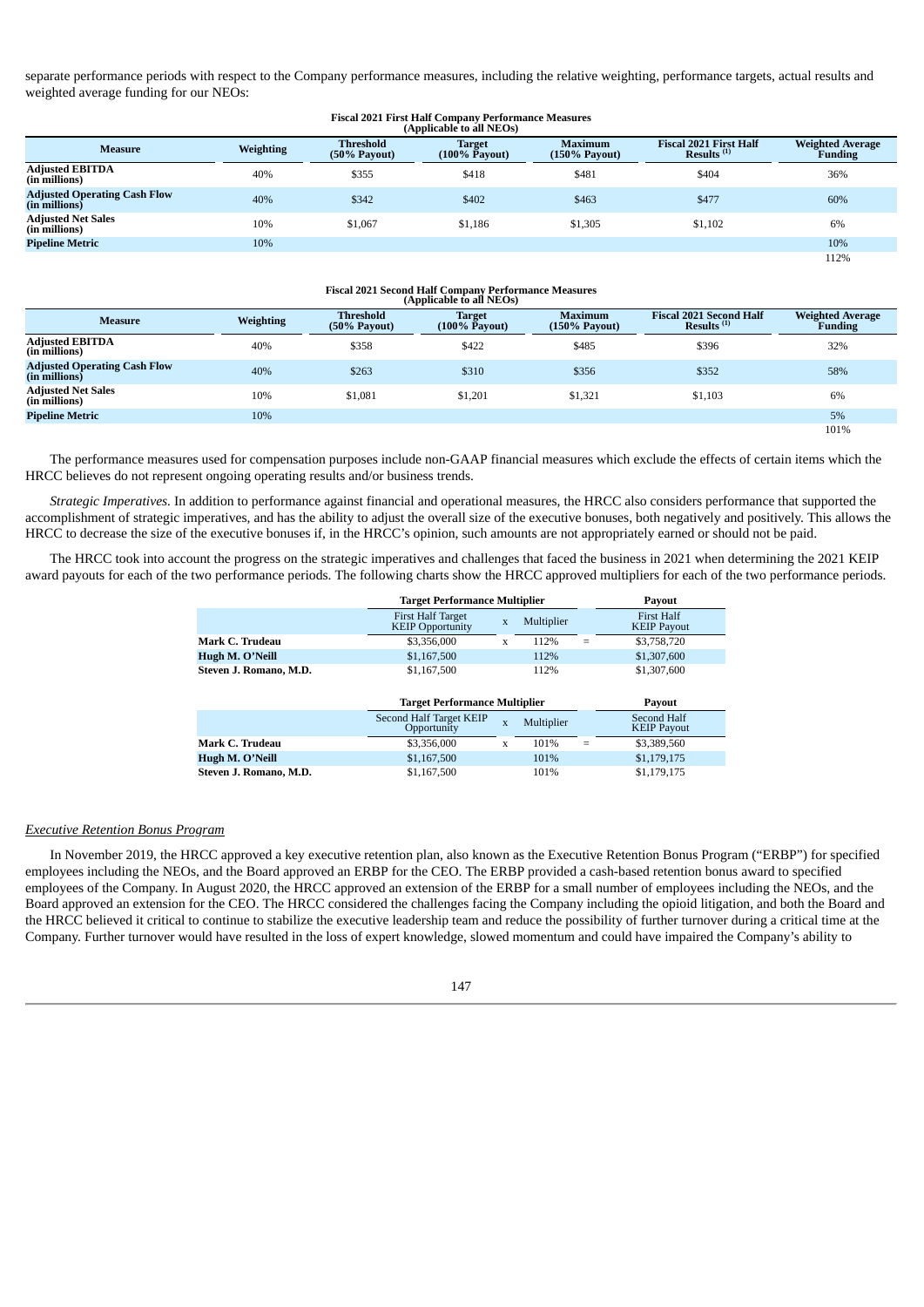separate performance periods with respect to the Company performance measures, including the relative weighting, performance targets, actual results and weighted average funding for our NEOs:

# **Fiscal 2021 First Half Company Performance Measures (Applicable to all NEOs)**

| Applicable to all NEOS)                                |                  |                                        |                                |                                            |                                                         |                                    |  |  |  |
|--------------------------------------------------------|------------------|----------------------------------------|--------------------------------|--------------------------------------------|---------------------------------------------------------|------------------------------------|--|--|--|
| <b>Measure</b>                                         | <b>Weighting</b> | <b>Threshold</b><br>$(50\% \;$ Payout) | <b>Target</b><br>(100% Pavout) | <b>Maximum</b><br>$(150\% \text{ Pavour})$ | <b>Fiscal 2021 First Half</b><br>Results <sup>(1)</sup> | <b>Weighted Average</b><br>Funding |  |  |  |
| <b>Adjusted EBITDA</b><br>(in millions)                | 40%              | \$355                                  | \$418                          | \$481                                      | \$404                                                   | 36%                                |  |  |  |
| <b>Adjusted Operating Cash Flow</b><br>$(in$ millions) | 40%              | \$342                                  | \$402                          | \$463                                      | \$477                                                   | 60%                                |  |  |  |
| <b>Adjusted Net Sales</b><br>(in millions)             | 10%              | \$1,067                                | \$1,186                        | \$1,305                                    | \$1,102                                                 | 6%                                 |  |  |  |
| <b>Pipeline Metric</b>                                 | 10%              |                                        |                                |                                            |                                                         | 10%                                |  |  |  |
|                                                        |                  |                                        |                                |                                            |                                                         | 112%                               |  |  |  |

## **Fiscal 2021 Second Half Company Performance Measures (Applicable to all NEOs)**

| $\mu$                                                  |                  |                                    |                                          |                                       |                                                          |                                           |  |  |  |  |
|--------------------------------------------------------|------------------|------------------------------------|------------------------------------------|---------------------------------------|----------------------------------------------------------|-------------------------------------------|--|--|--|--|
| <b>Measure</b>                                         | <b>Weighting</b> | <b>Threshold</b><br>$(50%$ Payout) | <b>Target</b><br>$(100\% \bar{P}$ avout) | <b>Maximum</b><br>$(150\% \;$ Payout) | <b>Fiscal 2021 Second Half</b><br>Results <sup>(1)</sup> | <b>Weighted Average</b><br><b>Funding</b> |  |  |  |  |
| <b>Adjusted EBITDA</b><br>(in millions)                | 40%              | \$358                              | \$422                                    | \$485                                 | \$396                                                    | 32%                                       |  |  |  |  |
| <b>Adjusted Operating Cash Flow</b><br>$(in$ millions) | 40%              | \$263                              | \$310                                    | \$356                                 | \$352                                                    | 58%                                       |  |  |  |  |
| <b>Adjusted Net Sales</b><br>(in millions)             | 10%              | \$1,081                            | \$1.201                                  | \$1.321                               | \$1,103                                                  | 6%                                        |  |  |  |  |
| <b>Pipeline Metric</b>                                 | 10%              |                                    |                                          |                                       |                                                          | 5%                                        |  |  |  |  |
|                                                        |                  |                                    |                                          |                                       |                                                          | 101%                                      |  |  |  |  |

The performance measures used for compensation purposes include non-GAAP financial measures which exclude the effects of certain items which the HRCC believes do not represent ongoing operating results and/or business trends.

*Strategic Imperatives.* In addition to performance against financial and operational measures, the HRCC also considers performance that supported the accomplishment of strategic imperatives, and has the ability to adjust the overall size of the executive bonuses, both negatively and positively. This allows the HRCC to decrease the size of the executive bonuses if, in the HRCC's opinion, such amounts are not appropriately earned or should not be paid.

The HRCC took into account the progress on the strategic imperatives and challenges that faced the business in 2021 when determining the 2021 KEIP award payouts for each of the two performance periods. The following charts show the HRCC approved multipliers for each of the two performance periods.

|                        |                                                     | <b>Target Performance Multiplier</b> |            |     |                                  |  |
|------------------------|-----------------------------------------------------|--------------------------------------|------------|-----|----------------------------------|--|
|                        | <b>First Half Target</b><br><b>KEIP Opportunity</b> | X                                    | Multiplier |     | First Half<br><b>KEIP Payout</b> |  |
| Mark C. Trudeau        | \$3,356,000                                         | x                                    | 112%       | $=$ | \$3,758,720                      |  |
| Hugh M. O'Neill        | \$1,167,500                                         |                                      | 112%       |     | \$1,307,600                      |  |
| Steven J. Romano, M.D. | \$1,167,500                                         |                                      | 112%       |     | \$1,307,600                      |  |

|                        |                                        | <b>Target Performance Multiplier</b> |            |   |                                   |  |
|------------------------|----------------------------------------|--------------------------------------|------------|---|-----------------------------------|--|
|                        | Second Half Target KEIP<br>Opportunity | X                                    | Multiplier |   | Second Half<br><b>KEIP Payout</b> |  |
| Mark C. Trudeau        | \$3,356,000                            |                                      | 101%       | = | \$3,389,560                       |  |
| Hugh M. O'Neill        | \$1,167,500                            |                                      | 101%       |   | \$1,179,175                       |  |
| Steven J. Romano, M.D. | \$1,167,500                            |                                      | 101%       |   | \$1,179,175                       |  |

#### *Executive Retention Bonus Program*

In November 2019, the HRCC approved a key executive retention plan, also known as the Executive Retention Bonus Program ("ERBP") for specified employees including the NEOs, and the Board approved an ERBP for the CEO. The ERBP provided a cash-based retention bonus award to specified employees of the Company. In August 2020, the HRCC approved an extension of the ERBP for a small number of employees including the NEOs, and the Board approved an extension for the CEO. The HRCC considered the challenges facing the Company including the opioid litigation, and both the Board and the HRCC believed it critical to continue to stabilize the executive leadership team and reduce the possibility of further turnover during a critical time at the Company. Further turnover would have resulted in the loss of expert knowledge, slowed momentum and could have impaired the Company's ability to

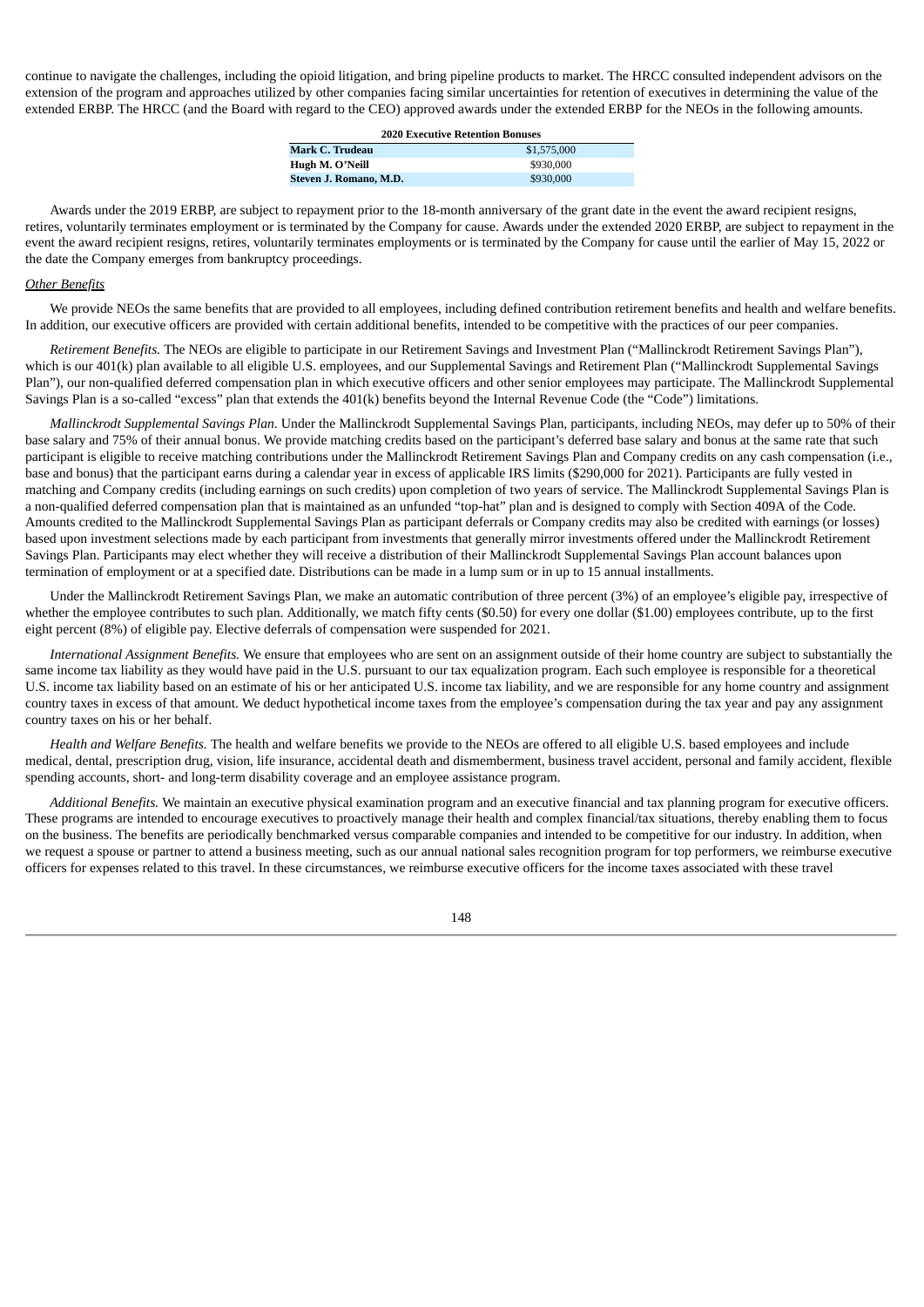continue to navigate the challenges, including the opioid litigation, and bring pipeline products to market. The HRCC consulted independent advisors on the extension of the program and approaches utilized by other companies facing similar uncertainties for retention of executives in determining the value of the extended ERBP. The HRCC (and the Board with regard to the CEO) approved awards under the extended ERBP for the NEOs in the following amounts.

**2020 Executive Retention Bonuses**

| <b>Mark C. Trudeau</b> | \$1,575,000 |
|------------------------|-------------|
| Hugh M. O'Neill        | \$930,000   |
| Steven J. Romano, M.D. | \$930,000   |

Awards under the 2019 ERBP, are subject to repayment prior to the 18-month anniversary of the grant date in the event the award recipient resigns, retires, voluntarily terminates employment or is terminated by the Company for cause. Awards under the extended 2020 ERBP, are subject to repayment in the event the award recipient resigns, retires, voluntarily terminates employments or is terminated by the Company for cause until the earlier of May 15, 2022 or the date the Company emerges from bankruptcy proceedings.

## *Other Benefits*

We provide NEOs the same benefits that are provided to all employees, including defined contribution retirement benefits and health and welfare benefits. In addition, our executive officers are provided with certain additional benefits, intended to be competitive with the practices of our peer companies.

*Retirement Benefits.* The NEOs are eligible to participate in our Retirement Savings and Investment Plan ("Mallinckrodt Retirement Savings Plan"), which is our 401(k) plan available to all eligible U.S. employees, and our Supplemental Savings and Retirement Plan ("Mallinckrodt Supplemental Savings Plan"), our non-qualified deferred compensation plan in which executive officers and other senior employees may participate. The Mallinckrodt Supplemental Savings Plan is a so-called "excess" plan that extends the 401(k) benefits beyond the Internal Revenue Code (the "Code") limitations.

*Mallinckrodt Supplemental Savings Plan*. Under the Mallinckrodt Supplemental Savings Plan, participants, including NEOs, may defer up to 50% of their base salary and 75% of their annual bonus. We provide matching credits based on the participant's deferred base salary and bonus at the same rate that such participant is eligible to receive matching contributions under the Mallinckrodt Retirement Savings Plan and Company credits on any cash compensation (i.e., base and bonus) that the participant earns during a calendar year in excess of applicable IRS limits (\$290,000 for 2021). Participants are fully vested in matching and Company credits (including earnings on such credits) upon completion of two years of service. The Mallinckrodt Supplemental Savings Plan is a non-qualified deferred compensation plan that is maintained as an unfunded "top-hat" plan and is designed to comply with Section 409A of the Code. Amounts credited to the Mallinckrodt Supplemental Savings Plan as participant deferrals or Company credits may also be credited with earnings (or losses) based upon investment selections made by each participant from investments that generally mirror investments offered under the Mallinckrodt Retirement Savings Plan. Participants may elect whether they will receive a distribution of their Mallinckrodt Supplemental Savings Plan account balances upon termination of employment or at a specified date. Distributions can be made in a lump sum or in up to 15 annual installments.

Under the Mallinckrodt Retirement Savings Plan, we make an automatic contribution of three percent (3%) of an employee's eligible pay, irrespective of whether the employee contributes to such plan. Additionally, we match fifty cents (\$0.50) for every one dollar (\$1.00) employees contribute, up to the first eight percent (8%) of eligible pay. Elective deferrals of compensation were suspended for 2021.

*International Assignment Benefits.* We ensure that employees who are sent on an assignment outside of their home country are subject to substantially the same income tax liability as they would have paid in the U.S. pursuant to our tax equalization program. Each such employee is responsible for a theoretical U.S. income tax liability based on an estimate of his or her anticipated U.S. income tax liability, and we are responsible for any home country and assignment country taxes in excess of that amount. We deduct hypothetical income taxes from the employee's compensation during the tax year and pay any assignment country taxes on his or her behalf.

*Health and Welfare Benefits.* The health and welfare benefits we provide to the NEOs are offered to all eligible U.S. based employees and include medical, dental, prescription drug, vision, life insurance, accidental death and dismemberment, business travel accident, personal and family accident, flexible spending accounts, short- and long-term disability coverage and an employee assistance program.

*Additional Benefits.* We maintain an executive physical examination program and an executive financial and tax planning program for executive officers. These programs are intended to encourage executives to proactively manage their health and complex financial/tax situations, thereby enabling them to focus on the business. The benefits are periodically benchmarked versus comparable companies and intended to be competitive for our industry. In addition, when we request a spouse or partner to attend a business meeting, such as our annual national sales recognition program for top performers, we reimburse executive officers for expenses related to this travel. In these circumstances, we reimburse executive officers for the income taxes associated with these travel

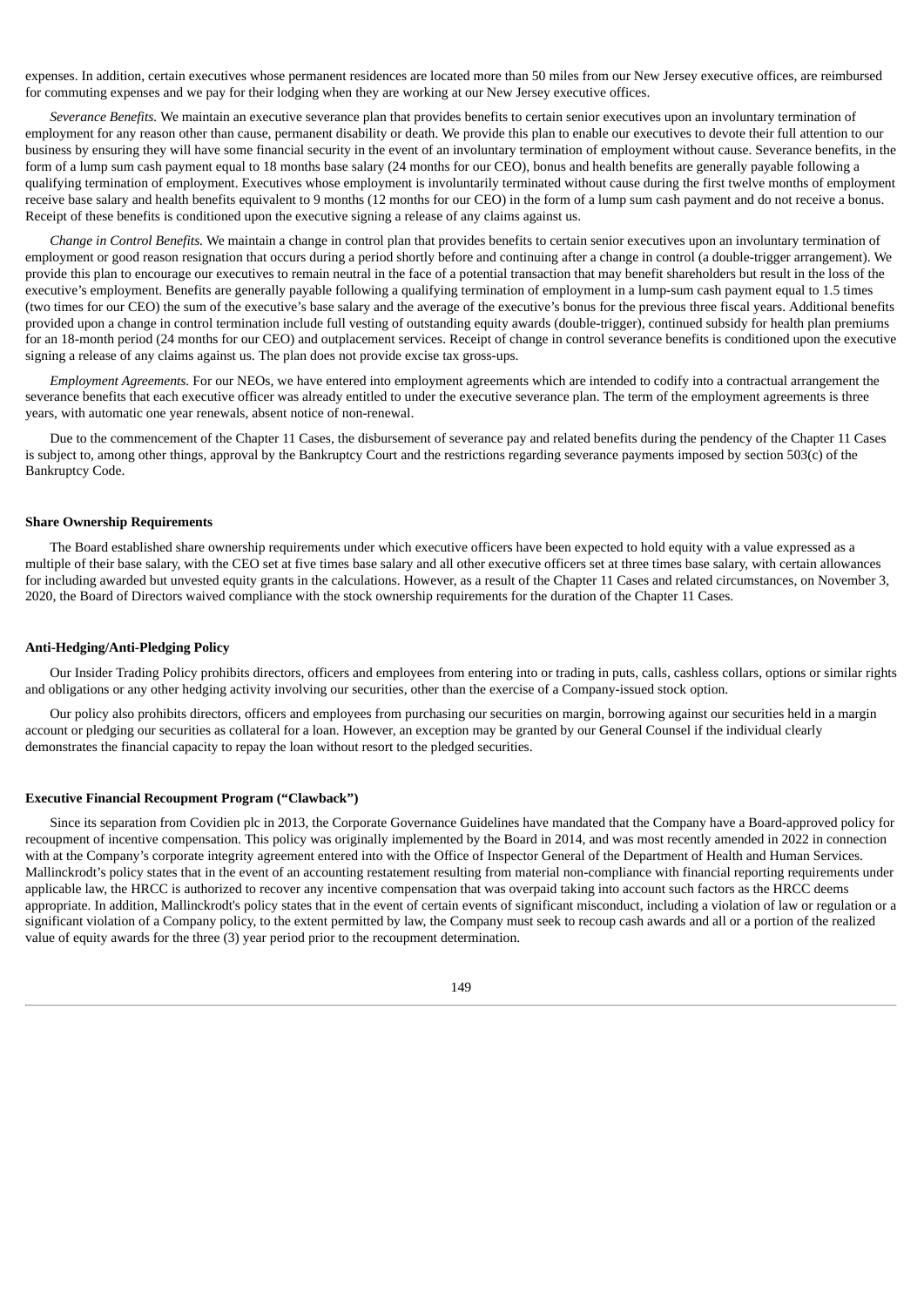expenses. In addition, certain executives whose permanent residences are located more than 50 miles from our New Jersey executive offices, are reimbursed for commuting expenses and we pay for their lodging when they are working at our New Jersey executive offices.

*Severance Benefits.* We maintain an executive severance plan that provides benefits to certain senior executives upon an involuntary termination of employment for any reason other than cause, permanent disability or death. We provide this plan to enable our executives to devote their full attention to our business by ensuring they will have some financial security in the event of an involuntary termination of employment without cause. Severance benefits, in the form of a lump sum cash payment equal to 18 months base salary (24 months for our CEO), bonus and health benefits are generally payable following a qualifying termination of employment. Executives whose employment is involuntarily terminated without cause during the first twelve months of employment receive base salary and health benefits equivalent to 9 months (12 months for our CEO) in the form of a lump sum cash payment and do not receive a bonus. Receipt of these benefits is conditioned upon the executive signing a release of any claims against us.

*Change in Control Benefits.* We maintain a change in control plan that provides benefits to certain senior executives upon an involuntary termination of employment or good reason resignation that occurs during a period shortly before and continuing after a change in control (a double-trigger arrangement). We provide this plan to encourage our executives to remain neutral in the face of a potential transaction that may benefit shareholders but result in the loss of the executive's employment. Benefits are generally payable following a qualifying termination of employment in a lump-sum cash payment equal to 1.5 times (two times for our CEO) the sum of the executive's base salary and the average of the executive's bonus for the previous three fiscal years. Additional benefits provided upon a change in control termination include full vesting of outstanding equity awards (double-trigger), continued subsidy for health plan premiums for an 18-month period (24 months for our CEO) and outplacement services. Receipt of change in control severance benefits is conditioned upon the executive signing a release of any claims against us. The plan does not provide excise tax gross-ups.

*Employment Agreements.* For our NEOs, we have entered into employment agreements which are intended to codify into a contractual arrangement the severance benefits that each executive officer was already entitled to under the executive severance plan. The term of the employment agreements is three years, with automatic one year renewals, absent notice of non-renewal.

Due to the commencement of the Chapter 11 Cases, the disbursement of severance pay and related benefits during the pendency of the Chapter 11 Cases is subject to, among other things, approval by the Bankruptcy Court and the restrictions regarding severance payments imposed by section 503(c) of the Bankruptcy Code.

## **Share Ownership Requirements**

The Board established share ownership requirements under which executive officers have been expected to hold equity with a value expressed as a multiple of their base salary, with the CEO set at five times base salary and all other executive officers set at three times base salary, with certain allowances for including awarded but unvested equity grants in the calculations. However, as a result of the Chapter 11 Cases and related circumstances, on November 3, 2020, the Board of Directors waived compliance with the stock ownership requirements for the duration of the Chapter 11 Cases.

#### **Anti-Hedging/Anti-Pledging Policy**

Our Insider Trading Policy prohibits directors, officers and employees from entering into or trading in puts, calls, cashless collars, options or similar rights and obligations or any other hedging activity involving our securities, other than the exercise of a Company-issued stock option.

Our policy also prohibits directors, officers and employees from purchasing our securities on margin, borrowing against our securities held in a margin account or pledging our securities as collateral for a loan. However, an exception may be granted by our General Counsel if the individual clearly demonstrates the financial capacity to repay the loan without resort to the pledged securities.

#### **Executive Financial Recoupment Program ("Clawback")**

Since its separation from Covidien plc in 2013, the Corporate Governance Guidelines have mandated that the Company have a Board-approved policy for recoupment of incentive compensation. This policy was originally implemented by the Board in 2014, and was most recently amended in 2022 in connection with at the Company's corporate integrity agreement entered into with the Office of Inspector General of the Department of Health and Human Services. Mallinckrodt's policy states that in the event of an accounting restatement resulting from material non-compliance with financial reporting requirements under applicable law, the HRCC is authorized to recover any incentive compensation that was overpaid taking into account such factors as the HRCC deems appropriate. In addition, Mallinckrodt's policy states that in the event of certain events of significant misconduct, including a violation of law or regulation or a significant violation of a Company policy, to the extent permitted by law, the Company must seek to recoup cash awards and all or a portion of the realized value of equity awards for the three (3) year period prior to the recoupment determination.

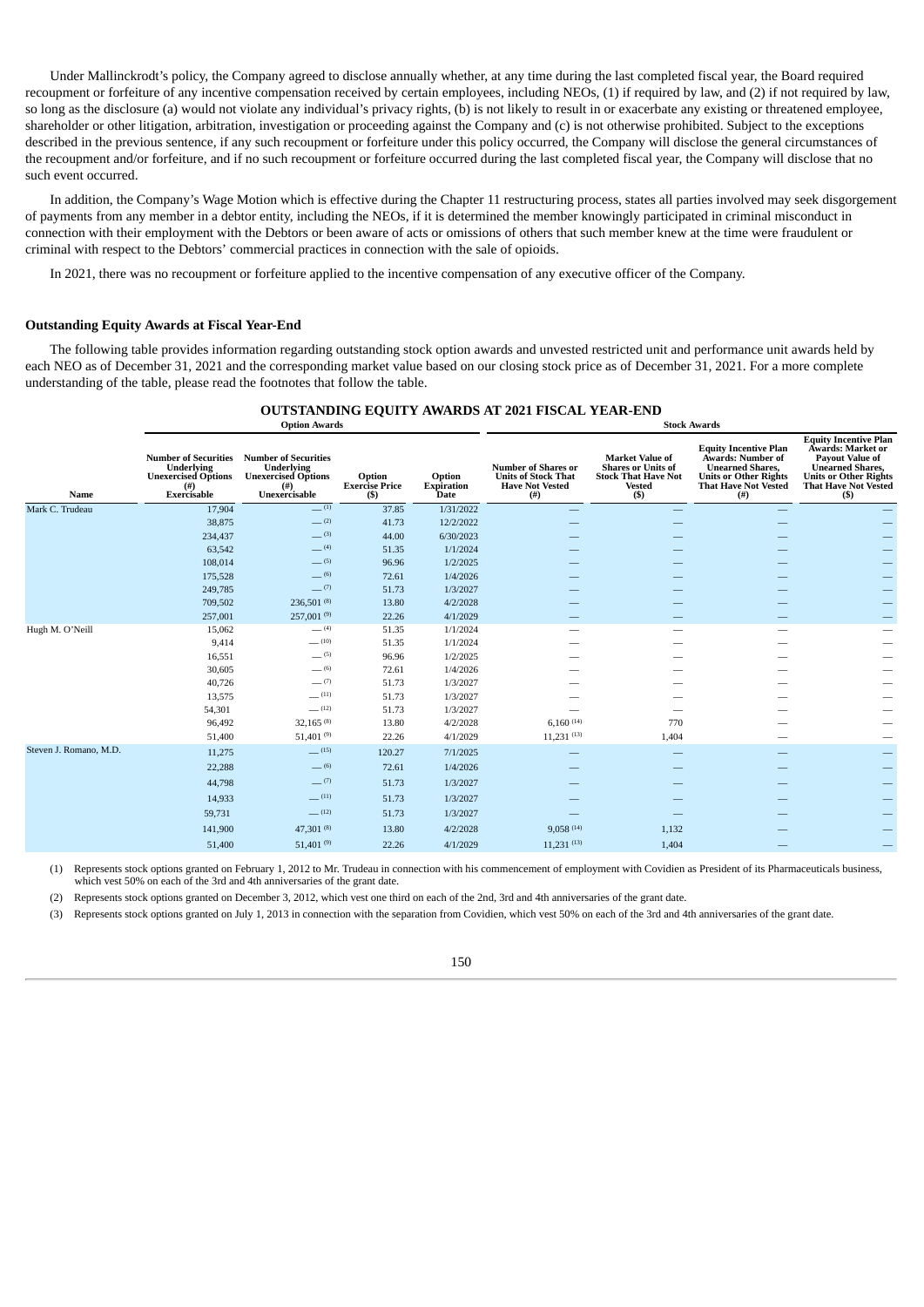Under Mallinckrodt's policy, the Company agreed to disclose annually whether, at any time during the last completed fiscal year, the Board required recoupment or forfeiture of any incentive compensation received by certain employees, including NEOs, (1) if required by law, and (2) if not required by law, so long as the disclosure (a) would not violate any individual's privacy rights, (b) is not likely to result in or exacerbate any existing or threatened employee, shareholder or other litigation, arbitration, investigation or proceeding against the Company and (c) is not otherwise prohibited. Subject to the exceptions described in the previous sentence, if any such recoupment or forfeiture under this policy occurred, the Company will disclose the general circumstances of the recoupment and/or forfeiture, and if no such recoupment or forfeiture occurred during the last completed fiscal year, the Company will disclose that no such event occurred.

In addition, the Company's Wage Motion which is effective during the Chapter 11 restructuring process, states all parties involved may seek disgorgement of payments from any member in a debtor entity, including the NEOs, if it is determined the member knowingly participated in criminal misconduct in connection with their employment with the Debtors or been aware of acts or omissions of others that such member knew at the time were fraudulent or criminal with respect to the Debtors' commercial practices in connection with the sale of opioids.

In 2021, there was no recoupment or forfeiture applied to the incentive compensation of any executive officer of the Company.

#### **Outstanding Equity Awards at Fiscal Year-End**

The following table provides information regarding outstanding stock option awards and unvested restricted unit and performance unit awards held by each NEO as of December 31, 2021 and the corresponding market value based on our closing stock price as of December 31, 2021. For a more complete understanding of the table, please read the footnotes that follow the table.

#### **OUTSTANDING EQUITY AWARDS AT 2021 FISCAL YEAR-END Option Awards Stock Awards**

| Name                   | <b>Underlying</b><br><b>Unexercised Options</b><br>$^{(#)}$<br>Exercisable | <b>Number of Securities Number of Securities</b><br>Underlying<br><b>Unexercised Options</b><br>(#)<br>Unexercisable | Option<br><b>Exercise Price</b><br>(S) | Option<br><b>Expiration</b><br><b>Date</b> | <b>Number of Shares or</b><br><b>Units of Stock That</b><br><b>Have Not Vested</b><br>(#) | <b>Market Value of</b><br><b>Shares or Units of</b><br><b>Stock That Have Not</b><br><b>Vested</b><br>(S) | <b>Equity Incentive Plan</b><br>Awards: Number of<br><b>Unearned Shares.</b><br><b>Units or Other Rights</b><br><b>That Have Not Vested</b><br>$($ # $)$ | <b>Equity Incentive Plan</b><br>Awards: Market or<br><b>Pavout Value of</b><br><b>Unearned Shares,</b><br><b>Units or Other Rights</b><br><b>That Have Not Vested</b><br>(S) |
|------------------------|----------------------------------------------------------------------------|----------------------------------------------------------------------------------------------------------------------|----------------------------------------|--------------------------------------------|-------------------------------------------------------------------------------------------|-----------------------------------------------------------------------------------------------------------|----------------------------------------------------------------------------------------------------------------------------------------------------------|------------------------------------------------------------------------------------------------------------------------------------------------------------------------------|
| Mark C. Trudeau        | 17,904                                                                     | $-^{(1)}$                                                                                                            | 37.85                                  | 1/31/2022                                  |                                                                                           |                                                                                                           |                                                                                                                                                          |                                                                                                                                                                              |
|                        | 38,875                                                                     | $-$ (2)                                                                                                              | 41.73                                  | 12/2/2022                                  |                                                                                           |                                                                                                           |                                                                                                                                                          |                                                                                                                                                                              |
|                        | 234,437                                                                    | $-^{(3)}$                                                                                                            | 44.00                                  | 6/30/2023                                  |                                                                                           |                                                                                                           |                                                                                                                                                          |                                                                                                                                                                              |
|                        | 63,542                                                                     | $-$ (4)                                                                                                              | 51.35                                  | 1/1/2024                                   |                                                                                           |                                                                                                           |                                                                                                                                                          |                                                                                                                                                                              |
|                        | 108,014                                                                    | $-$ (5)                                                                                                              | 96.96                                  | 1/2/2025                                   |                                                                                           |                                                                                                           |                                                                                                                                                          |                                                                                                                                                                              |
|                        | 175,528                                                                    | $- (6)$                                                                                                              | 72.61                                  | 1/4/2026                                   |                                                                                           |                                                                                                           |                                                                                                                                                          |                                                                                                                                                                              |
|                        | 249,785                                                                    | $-$ (7)                                                                                                              | 51.73                                  | 1/3/2027                                   |                                                                                           |                                                                                                           |                                                                                                                                                          |                                                                                                                                                                              |
|                        | 709,502                                                                    | 236,501 (8)                                                                                                          | 13.80                                  | 4/2/2028                                   |                                                                                           |                                                                                                           |                                                                                                                                                          |                                                                                                                                                                              |
|                        | 257,001                                                                    | $257,001^{(9)}$                                                                                                      | 22.26                                  | 4/1/2029                                   |                                                                                           |                                                                                                           |                                                                                                                                                          |                                                                                                                                                                              |
| Hugh M. O'Neill        | 15,062                                                                     | $-$ (4)                                                                                                              | 51.35                                  | 1/1/2024                                   |                                                                                           |                                                                                                           |                                                                                                                                                          |                                                                                                                                                                              |
|                        | 9,414                                                                      | $-$ (10)                                                                                                             | 51.35                                  | 1/1/2024                                   |                                                                                           |                                                                                                           |                                                                                                                                                          |                                                                                                                                                                              |
|                        | 16,551                                                                     | $-$ (5)                                                                                                              | 96.96                                  | 1/2/2025                                   |                                                                                           |                                                                                                           |                                                                                                                                                          |                                                                                                                                                                              |
|                        | 30,605                                                                     | $-$ (6)                                                                                                              | 72.61                                  | 1/4/2026                                   |                                                                                           |                                                                                                           |                                                                                                                                                          |                                                                                                                                                                              |
|                        | 40,726                                                                     | $-$ (7)                                                                                                              | 51.73                                  | 1/3/2027                                   |                                                                                           |                                                                                                           |                                                                                                                                                          |                                                                                                                                                                              |
|                        | 13,575                                                                     | $-$ (11)<br>$-$ (12)                                                                                                 | 51.73                                  | 1/3/2027                                   |                                                                                           |                                                                                                           |                                                                                                                                                          |                                                                                                                                                                              |
|                        | 54,301                                                                     | $32,165^{(8)}$                                                                                                       | 51.73                                  | 1/3/2027                                   | $6,160^{(14)}$                                                                            | 770                                                                                                       |                                                                                                                                                          |                                                                                                                                                                              |
|                        | 96,492<br>51,400                                                           | $51,401^{(9)}$                                                                                                       | 13.80<br>22.26                         | 4/2/2028<br>4/1/2029                       | $11,231$ <sup>(13)</sup>                                                                  | 1,404                                                                                                     |                                                                                                                                                          |                                                                                                                                                                              |
| Steven J. Romano, M.D. |                                                                            | $-$ (15)                                                                                                             |                                        |                                            |                                                                                           |                                                                                                           |                                                                                                                                                          |                                                                                                                                                                              |
|                        | 11,275                                                                     |                                                                                                                      | 120.27                                 | 7/1/2025                                   |                                                                                           |                                                                                                           |                                                                                                                                                          |                                                                                                                                                                              |
|                        | 22,288                                                                     | $-$ (6)                                                                                                              | 72.61                                  | 1/4/2026                                   |                                                                                           |                                                                                                           |                                                                                                                                                          |                                                                                                                                                                              |
|                        | 44,798                                                                     | $-$ (7)                                                                                                              | 51.73                                  | 1/3/2027                                   |                                                                                           |                                                                                                           |                                                                                                                                                          |                                                                                                                                                                              |
|                        | 14,933                                                                     | $-$ (11)                                                                                                             | 51.73                                  | 1/3/2027                                   |                                                                                           |                                                                                                           |                                                                                                                                                          |                                                                                                                                                                              |
|                        | 59,731                                                                     | (12)                                                                                                                 | 51.73                                  | 1/3/2027                                   |                                                                                           |                                                                                                           |                                                                                                                                                          |                                                                                                                                                                              |
|                        | 141,900                                                                    | 47,301 $(8)$                                                                                                         | 13.80                                  | 4/2/2028                                   | 9,058(14)                                                                                 | 1,132                                                                                                     |                                                                                                                                                          |                                                                                                                                                                              |
|                        | 51,400                                                                     | 51,401 $(9)$                                                                                                         | 22.26                                  | 4/1/2029                                   | $11,231$ (13)                                                                             | 1,404                                                                                                     |                                                                                                                                                          |                                                                                                                                                                              |
|                        |                                                                            |                                                                                                                      |                                        |                                            |                                                                                           |                                                                                                           |                                                                                                                                                          |                                                                                                                                                                              |

(1) Represents stock options granted on February 1, 2012 to Mr. Trudeau in connection with his commencement of employment with Covidien as President of its Pharmaceuticals business, which vest 50% on each of the 3rd and 4th anniversaries of the grant date.

(2) Represents stock options granted on December 3, 2012, which vest one third on each of the 2nd, 3rd and 4th anniversaries of the grant date.

(3) Represents stock options granted on July 1, 2013 in connection with the separation from Covidien, which vest 50% on each of the 3rd and 4th anniversaries of the grant date.

150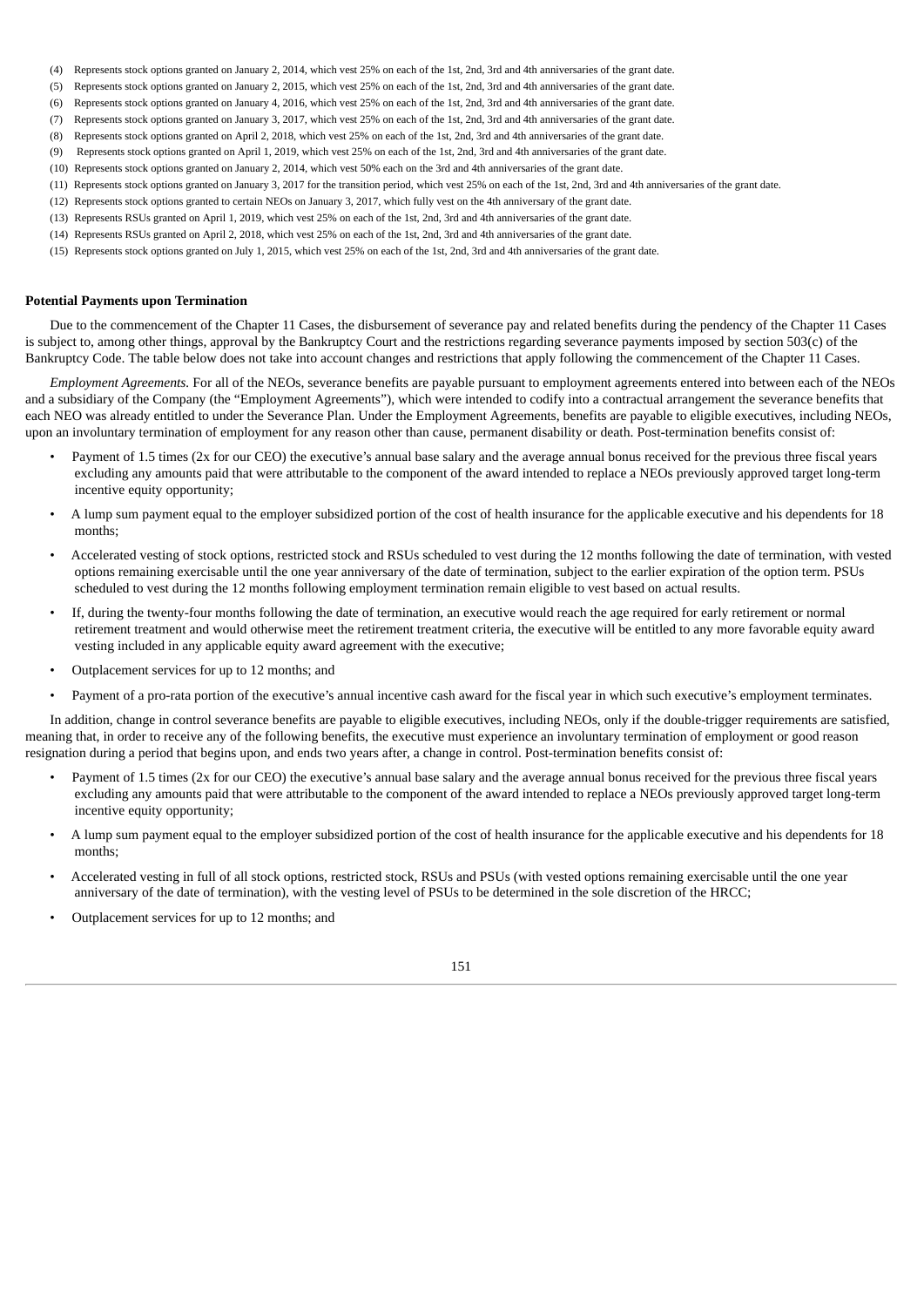- (4) Represents stock options granted on January 2, 2014, which vest 25% on each of the 1st, 2nd, 3rd and 4th anniversaries of the grant date.
- (5) Represents stock options granted on January 2, 2015, which vest 25% on each of the 1st, 2nd, 3rd and 4th anniversaries of the grant date.
- (6) Represents stock options granted on January 4, 2016, which vest 25% on each of the 1st, 2nd, 3rd and 4th anniversaries of the grant date.
- (7) Represents stock options granted on January 3, 2017, which vest 25% on each of the 1st, 2nd, 3rd and 4th anniversaries of the grant date.
- (8) Represents stock options granted on April 2, 2018, which vest 25% on each of the 1st, 2nd, 3rd and 4th anniversaries of the grant date.
- (9) Represents stock options granted on April 1, 2019, which vest 25% on each of the 1st, 2nd, 3rd and 4th anniversaries of the grant date.
- (10) Represents stock options granted on January 2, 2014, which vest 50% each on the 3rd and 4th anniversaries of the grant date.
- (11) Represents stock options granted on January 3, 2017 for the transition period, which vest 25% on each of the 1st, 2nd, 3rd and 4th anniversaries of the grant date.
- (12) Represents stock options granted to certain NEOs on January 3, 2017, which fully vest on the 4th anniversary of the grant date.
- (13) Represents RSUs granted on April 1, 2019, which vest 25% on each of the 1st, 2nd, 3rd and 4th anniversaries of the grant date.
- (14) Represents RSUs granted on April 2, 2018, which vest 25% on each of the 1st, 2nd, 3rd and 4th anniversaries of the grant date.
- (15) Represents stock options granted on July 1, 2015, which vest 25% on each of the 1st, 2nd, 3rd and 4th anniversaries of the grant date.

## **Potential Payments upon Termination**

Due to the commencement of the Chapter 11 Cases, the disbursement of severance pay and related benefits during the pendency of the Chapter 11 Cases is subject to, among other things, approval by the Bankruptcy Court and the restrictions regarding severance payments imposed by section 503(c) of the Bankruptcy Code. The table below does not take into account changes and restrictions that apply following the commencement of the Chapter 11 Cases.

*Employment Agreements.* For all of the NEOs, severance benefits are payable pursuant to employment agreements entered into between each of the NEOs and a subsidiary of the Company (the "Employment Agreements"), which were intended to codify into a contractual arrangement the severance benefits that each NEO was already entitled to under the Severance Plan. Under the Employment Agreements, benefits are payable to eligible executives, including NEOs, upon an involuntary termination of employment for any reason other than cause, permanent disability or death. Post-termination benefits consist of:

- Payment of 1.5 times (2x for our CEO) the executive's annual base salary and the average annual bonus received for the previous three fiscal years excluding any amounts paid that were attributable to the component of the award intended to replace a NEOs previously approved target long-term incentive equity opportunity;
- A lump sum payment equal to the employer subsidized portion of the cost of health insurance for the applicable executive and his dependents for 18 months;
- Accelerated vesting of stock options, restricted stock and RSUs scheduled to vest during the 12 months following the date of termination, with vested options remaining exercisable until the one year anniversary of the date of termination, subject to the earlier expiration of the option term. PSUs scheduled to vest during the 12 months following employment termination remain eligible to vest based on actual results.
- If, during the twenty-four months following the date of termination, an executive would reach the age required for early retirement or normal retirement treatment and would otherwise meet the retirement treatment criteria, the executive will be entitled to any more favorable equity award vesting included in any applicable equity award agreement with the executive;
- Outplacement services for up to 12 months; and
- Payment of a pro-rata portion of the executive's annual incentive cash award for the fiscal year in which such executive's employment terminates.

In addition, change in control severance benefits are payable to eligible executives, including NEOs, only if the double-trigger requirements are satisfied, meaning that, in order to receive any of the following benefits, the executive must experience an involuntary termination of employment or good reason resignation during a period that begins upon, and ends two years after, a change in control. Post-termination benefits consist of:

- Payment of 1.5 times (2x for our CEO) the executive's annual base salary and the average annual bonus received for the previous three fiscal years excluding any amounts paid that were attributable to the component of the award intended to replace a NEOs previously approved target long-term incentive equity opportunity;
- A lump sum payment equal to the employer subsidized portion of the cost of health insurance for the applicable executive and his dependents for 18 months;
- Accelerated vesting in full of all stock options, restricted stock, RSUs and PSUs (with vested options remaining exercisable until the one year anniversary of the date of termination), with the vesting level of PSUs to be determined in the sole discretion of the HRCC;
- Outplacement services for up to 12 months; and

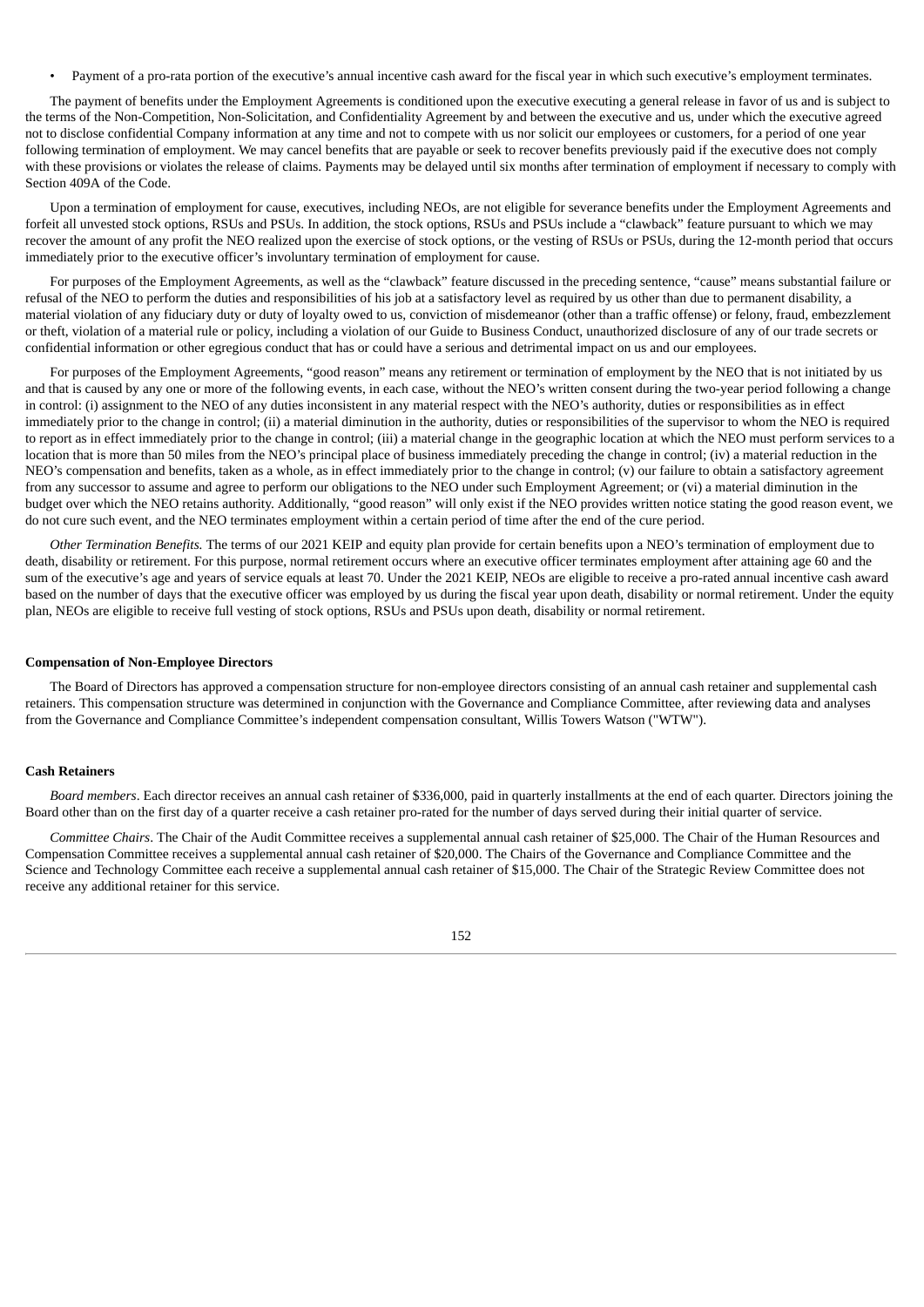• Payment of a pro-rata portion of the executive's annual incentive cash award for the fiscal year in which such executive's employment terminates.

The payment of benefits under the Employment Agreements is conditioned upon the executive executing a general release in favor of us and is subject to the terms of the Non-Competition, Non-Solicitation, and Confidentiality Agreement by and between the executive and us, under which the executive agreed not to disclose confidential Company information at any time and not to compete with us nor solicit our employees or customers, for a period of one year following termination of employment. We may cancel benefits that are payable or seek to recover benefits previously paid if the executive does not comply with these provisions or violates the release of claims. Payments may be delayed until six months after termination of employment if necessary to comply with Section 409A of the Code.

Upon a termination of employment for cause, executives, including NEOs, are not eligible for severance benefits under the Employment Agreements and forfeit all unvested stock options, RSUs and PSUs. In addition, the stock options, RSUs and PSUs include a "clawback" feature pursuant to which we may recover the amount of any profit the NEO realized upon the exercise of stock options, or the vesting of RSUs or PSUs, during the 12-month period that occurs immediately prior to the executive officer's involuntary termination of employment for cause.

For purposes of the Employment Agreements, as well as the "clawback" feature discussed in the preceding sentence, "cause" means substantial failure or refusal of the NEO to perform the duties and responsibilities of his job at a satisfactory level as required by us other than due to permanent disability, a material violation of any fiduciary duty or duty of loyalty owed to us, conviction of misdemeanor (other than a traffic offense) or felony, fraud, embezzlement or theft, violation of a material rule or policy, including a violation of our Guide to Business Conduct, unauthorized disclosure of any of our trade secrets or confidential information or other egregious conduct that has or could have a serious and detrimental impact on us and our employees.

For purposes of the Employment Agreements, "good reason" means any retirement or termination of employment by the NEO that is not initiated by us and that is caused by any one or more of the following events, in each case, without the NEO's written consent during the two-year period following a change in control: (i) assignment to the NEO of any duties inconsistent in any material respect with the NEO's authority, duties or responsibilities as in effect immediately prior to the change in control; (ii) a material diminution in the authority, duties or responsibilities of the supervisor to whom the NEO is required to report as in effect immediately prior to the change in control; (iii) a material change in the geographic location at which the NEO must perform services to a location that is more than 50 miles from the NEO's principal place of business immediately preceding the change in control; (iv) a material reduction in the NEO's compensation and benefits, taken as a whole, as in effect immediately prior to the change in control; (v) our failure to obtain a satisfactory agreement from any successor to assume and agree to perform our obligations to the NEO under such Employment Agreement; or (vi) a material diminution in the budget over which the NEO retains authority. Additionally, "good reason" will only exist if the NEO provides written notice stating the good reason event, we do not cure such event, and the NEO terminates employment within a certain period of time after the end of the cure period.

*Other Termination Benefits.* The terms of our 2021 KEIP and equity plan provide for certain benefits upon a NEO's termination of employment due to death, disability or retirement. For this purpose, normal retirement occurs where an executive officer terminates employment after attaining age 60 and the sum of the executive's age and years of service equals at least 70. Under the 2021 KEIP, NEOs are eligible to receive a pro-rated annual incentive cash award based on the number of days that the executive officer was employed by us during the fiscal year upon death, disability or normal retirement. Under the equity plan, NEOs are eligible to receive full vesting of stock options, RSUs and PSUs upon death, disability or normal retirement.

#### **Compensation of Non-Employee Directors**

The Board of Directors has approved a compensation structure for non-employee directors consisting of an annual cash retainer and supplemental cash retainers. This compensation structure was determined in conjunction with the Governance and Compliance Committee, after reviewing data and analyses from the Governance and Compliance Committee's independent compensation consultant, Willis Towers Watson ("WTW").

## **Cash Retainers**

*Board members*. Each director receives an annual cash retainer of \$336,000, paid in quarterly installments at the end of each quarter. Directors joining the Board other than on the first day of a quarter receive a cash retainer pro-rated for the number of days served during their initial quarter of service.

*Committee Chairs*. The Chair of the Audit Committee receives a supplemental annual cash retainer of \$25,000. The Chair of the Human Resources and Compensation Committee receives a supplemental annual cash retainer of \$20,000. The Chairs of the Governance and Compliance Committee and the Science and Technology Committee each receive a supplemental annual cash retainer of \$15,000. The Chair of the Strategic Review Committee does not receive any additional retainer for this service.